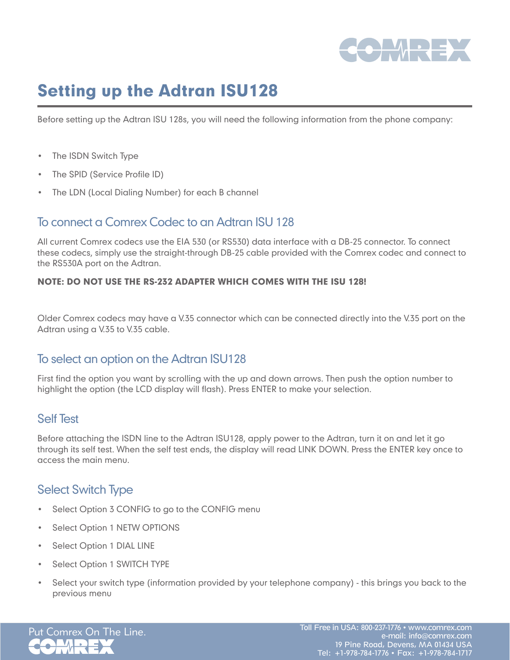

# Setting up the Adtran ISU128

Before setting up the Adtran ISU 128s, you will need the following information from the phone company:

- The ISDN Switch Type
- The SPID (Service Profile ID)
- The LDN (Local Dialing Number) for each B channel

# To connect a Comrex Codec to an Adtran ISU 128

All current Comrex codecs use the EIA 530 (or RS530) data interface with a DB-25 connector. To connect these codecs, simply use the straight-through DB-25 cable provided with the Comrex codec and connect to the RS530A port on the Adtran.

#### NOTE: DO NOT USE THE RS-232 ADAPTER WHICH COMES WITH THE ISU 128!

Older Comrex codecs may have a V.35 connector which can be connected directly into the V.35 port on the Adtran using a V.35 to V.35 cable.

# To select an option on the Adtran ISU128

First find the option you want by scrolling with the up and down arrows. Then push the option number to highlight the option (the LCD display will flash). Press ENTER to make your selection.

#### Self Test

Before attaching the ISDN line to the Adtran ISU128, apply power to the Adtran, turn it on and let it go through its self test. When the self test ends, the display will read LINK DOWN. Press the ENTER key once to access the main menu.

# Select Switch Type

- Select Option 3 CONFIG to go to the CONFIG menu
- Select Option 1 NETW OPTIONS
- • Select Option 1 DIAL LINE
- Select Option 1 SWITCH TYPE
- Select your switch type (information provided by your telephone company) this brings you back to the previous menu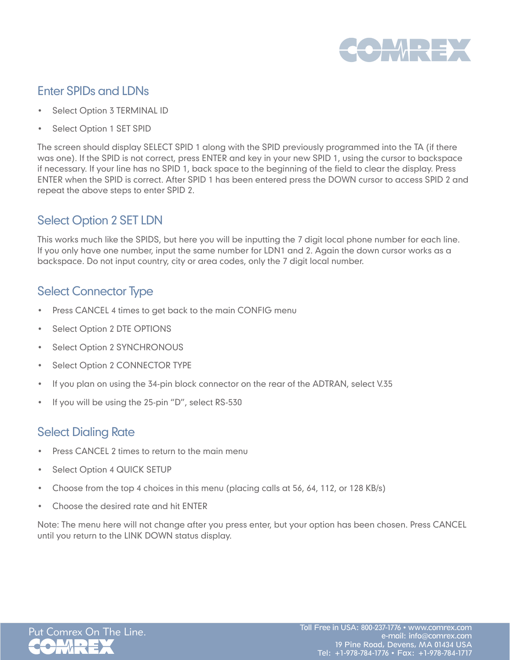

# Enter SPIDs and LDNs

- Select Option 3 TERMINAL ID
- Select Option 1 SET SPID

The screen should display SELECT SPID 1 along with the SPID previously programmed into the TA (if there was one). If the SPID is not correct, press ENTER and key in your new SPID 1, using the cursor to backspace if necessary. If your line has no SPID 1, back space to the beginning of the field to clear the display. Press ENTER when the SPID is correct. After SPID 1 has been entered press the DOWN cursor to access SPID 2 and repeat the above steps to enter SPID 2.

# Select Option 2 SET LDN

This works much like the SPIDS, but here you will be inputting the 7 digit local phone number for each line. If you only have one number, input the same number for LDN1 and 2. Again the down cursor works as a backspace. Do not input country, city or area codes, only the 7 digit local number.

# Select Connector Type

- Press CANCEL 4 times to get back to the main CONFIG menu
- Select Option 2 DTE OPTIONS
- Select Option 2 SYNCHRONOUS
- Select Option 2 CONNECTOR TYPE
- If you plan on using the 34-pin block connector on the rear of the ADTRAN, select V.35
- If you will be using the 25-pin "D", select RS-530

# Select Dialing Rate

- Press CANCEL 2 times to return to the main menu
- Select Option 4 QUICK SETUP
- Choose from the top 4 choices in this menu (placing calls at  $56$ ,  $64$ ,  $112$ , or  $128$  KB/s)
- Choose the desired rate and hit ENTER

Note: The menu here will not change after you press enter, but your option has been chosen. Press CANCEL until you return to the LINK DOWN status display.